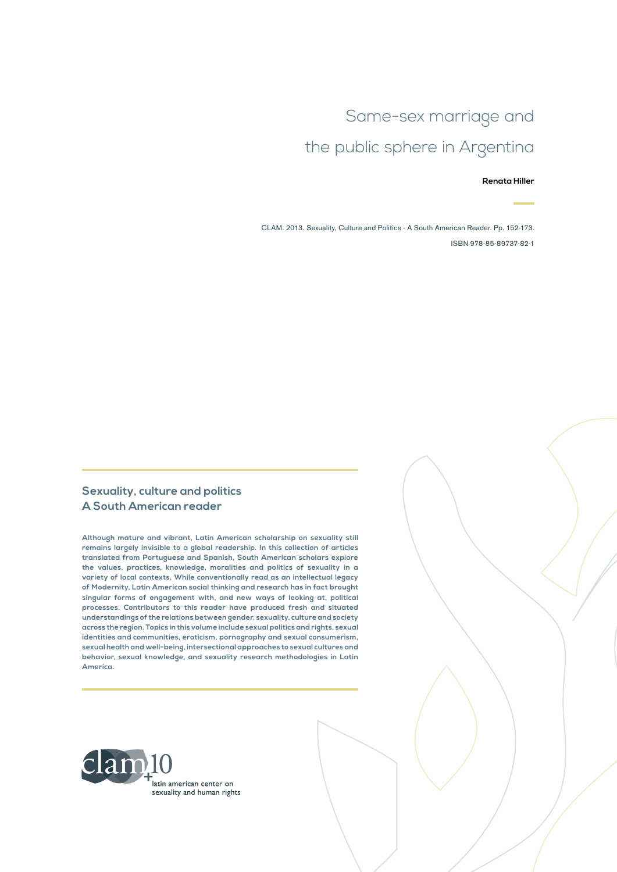# Same-sex marriage and the public sphere in Argentina

#### **Renata Hiller**

CLAM. 2013. Sexuality, Culture and Politics - A South American Reader. Pp. 152-173. ISBN 978-85-89737-82-1

#### **Sexuality, culture and politics A South American reader**

**Although mature and vibrant, Latin American scholarship on sexuality still remains largely invisible to a global readership. In this collection of articles translated from Portuguese and Spanish, South American scholars explore the values, practices, knowledge, moralities and politics of sexuality in a variety of local contexts. While conventionally read as an intellectual legacy of Modernity, Latin American social thinking and research has in fact brought singular forms of engagement with, and new ways of looking at, political processes. Contributors to this reader have produced fresh and situated understandings of the relations between gender, sexuality, culture and society across the region. Topics in this volume include sexual politics and rights, sexual identities and communities, eroticism, pornography and sexual consumerism, sexual health and well-being, intersectional approaches to sexual cultures and behavior, sexual knowledge, and sexuality research methodologies in Latin America.**

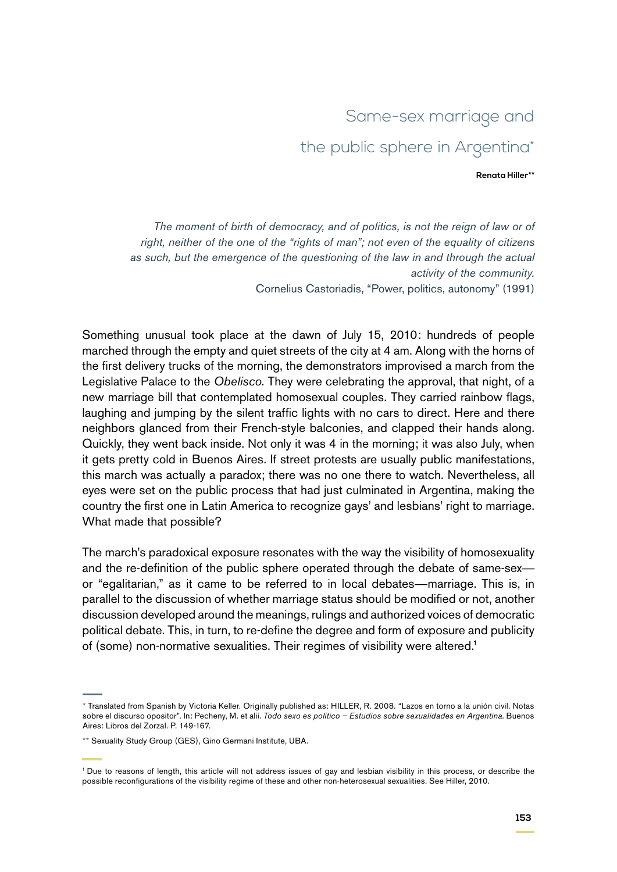# Same-sex marriage and the public sphere in Argentina\*

#### **Renata Hiller\*\***

*The moment of birth of democracy, and of politics, is not the reign of law or of right, neither of the one of the "rights of man"; not even of the equality of citizens as such, but the emergence of the questioning of the law in and through the actual activity of the community.* Cornelius Castoriadis, "Power, politics, autonomy" (1991)

Something unusual took place at the dawn of July 15, 2010: hundreds of people marched through the empty and quiet streets of the city at 4 am. Along with the horns of the first delivery trucks of the morning, the demonstrators improvised a march from the Legislative Palace to the *Obelisco*. They were celebrating the approval, that night, of a new marriage bill that contemplated homosexual couples. They carried rainbow flags, laughing and jumping by the silent traffic lights with no cars to direct. Here and there neighbors glanced from their French-style balconies, and clapped their hands along. Quickly, they went back inside. Not only it was 4 in the morning; it was also July, when it gets pretty cold in Buenos Aires. If street protests are usually public manifestations, this march was actually a paradox; there was no one there to watch. Nevertheless, all eyes were set on the public process that had just culminated in Argentina, making the country the first one in Latin America to recognize gays' and lesbians' right to marriage. What made that possible?

The march's paradoxical exposure resonates with the way the visibility of homosexuality and the re-definition of the public sphere operated through the debate of same-sex or "egalitarian," as it came to be referred to in local debates—marriage. This is, in parallel to the discussion of whether marriage status should be modified or not, another discussion developed around the meanings, rulings and authorized voices of democratic political debate. This, in turn, to re-define the degree and form of exposure and publicity of (some) non-normative sexualities. Their regimes of visibility were altered.<sup>1</sup>

<sup>\*</sup> Translated from Spanish by Victoria Keller. Originally published as: Hiller, R. 2008. "Lazos en torno a la unión civil. Notas sobre el discurso opositor". In: Pecheny, M. et alii. *Todo sexo es politico – Estudios sobre sexualidades en Argentina*. Buenos Aires: Libros del Zorzal. P. 149-167.

<sup>\*\*</sup> Sexuality Study Group (GES), Gino Germani Institute, UBA.

<sup>1</sup> Due to reasons of length, this article will not address issues of gay and lesbian visibility in this process, or describe the possible reconfigurations of the visibility regime of these and other non-heterosexual sexualities. See Hiller, 2010.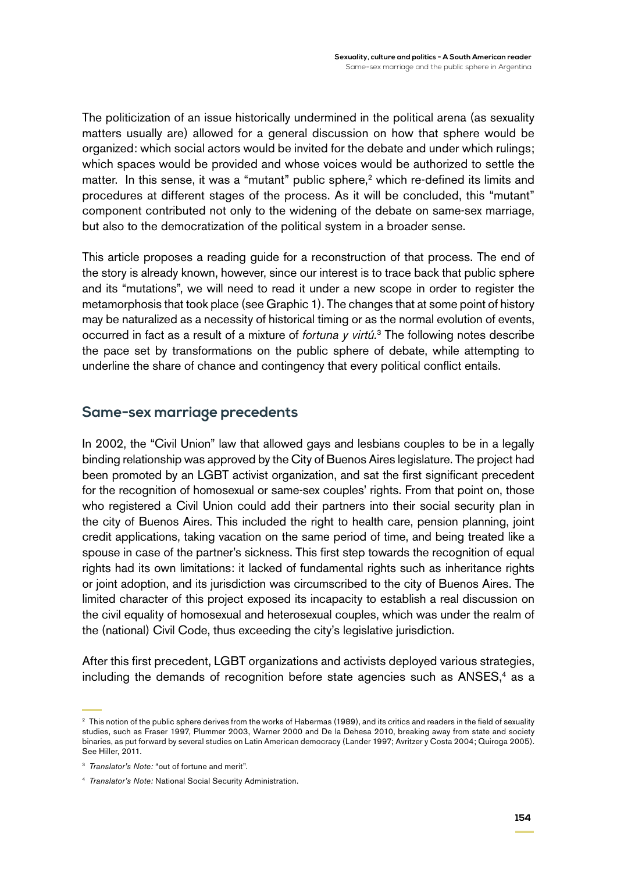The politicization of an issue historically undermined in the political arena (as sexuality matters usually are) allowed for a general discussion on how that sphere would be organized: which social actors would be invited for the debate and under which rulings; which spaces would be provided and whose voices would be authorized to settle the matter. In this sense, it was a "mutant" public sphere,<sup>2</sup> which re-defined its limits and procedures at different stages of the process. As it will be concluded, this "mutant" component contributed not only to the widening of the debate on same-sex marriage, but also to the democratization of the political system in a broader sense.

This article proposes a reading guide for a reconstruction of that process. The end of the story is already known, however, since our interest is to trace back that public sphere and its "mutations", we will need to read it under a new scope in order to register the metamorphosis that took place (see Graphic 1). The changes that at some point of history may be naturalized as a necessity of historical timing or as the normal evolution of events, occurred in fact as a result of a mixture of *fortuna y virtú.*3 The following notes describe the pace set by transformations on the public sphere of debate, while attempting to underline the share of chance and contingency that every political conflict entails.

## **Same-sex marriage precedents**

In 2002, the "Civil Union" law that allowed gays and lesbians couples to be in a legally binding relationship was approved by the City of Buenos Aires legislature. The project had been promoted by an LGBT activist organization, and sat the first significant precedent for the recognition of homosexual or same-sex couples' rights. From that point on, those who registered a Civil Union could add their partners into their social security plan in the city of Buenos Aires. This included the right to health care, pension planning, joint credit applications, taking vacation on the same period of time, and being treated like a spouse in case of the partner's sickness. This first step towards the recognition of equal rights had its own limitations: it lacked of fundamental rights such as inheritance rights or joint adoption, and its jurisdiction was circumscribed to the city of Buenos Aires. The limited character of this project exposed its incapacity to establish a real discussion on the civil equality of homosexual and heterosexual couples, which was under the realm of the (national) Civil Code, thus exceeding the city's legislative jurisdiction.

After this first precedent, LGBT organizations and activists deployed various strategies, including the demands of recognition before state agencies such as ANSES,<sup>4</sup> as a

<sup>&</sup>lt;sup>2</sup> This notion of the public sphere derives from the works of Habermas (1989), and its critics and readers in the field of sexuality studies, such as Fraser 1997, Plummer 2003, Warner 2000 and De la Dehesa 2010, breaking away from state and society binaries, as put forward by several studies on Latin American democracy (Lander 1997; Avritzer y Costa 2004; Quiroga 2005). See Hiller, 2011.

<sup>3</sup> *Translator's Note:* "out of fortune and merit".

<sup>4</sup> *Translator's Note:* National Social Security Administration.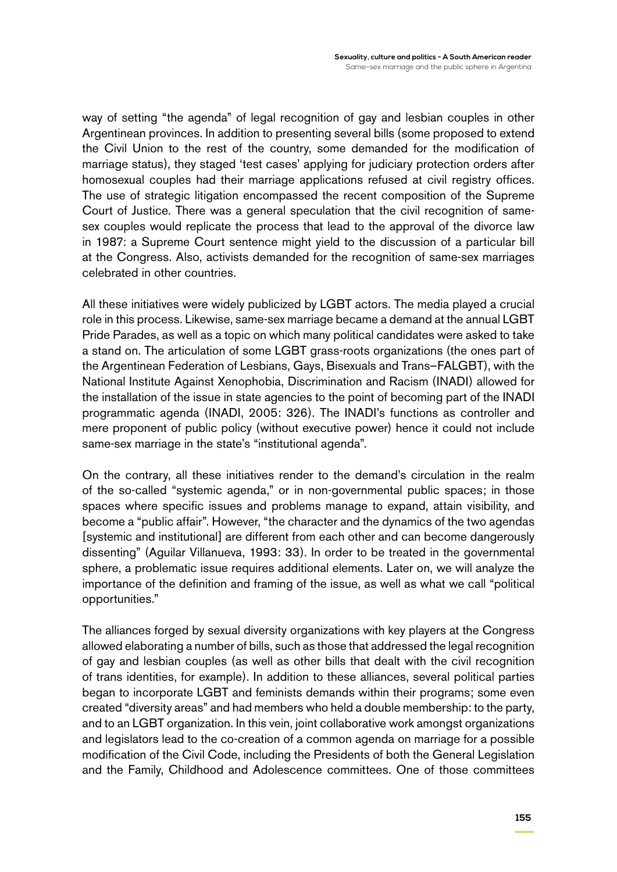way of setting "the agenda" of legal recognition of gay and lesbian couples in other Argentinean provinces. In addition to presenting several bills (some proposed to extend the Civil Union to the rest of the country, some demanded for the modification of marriage status), they staged 'test cases' applying for judiciary protection orders after homosexual couples had their marriage applications refused at civil registry offices. The use of strategic litigation encompassed the recent composition of the Supreme Court of Justice. There was a general speculation that the civil recognition of samesex couples would replicate the process that lead to the approval of the divorce law in 1987: a Supreme Court sentence might yield to the discussion of a particular bill at the Congress. Also, activists demanded for the recognition of same-sex marriages celebrated in other countries.

All these initiatives were widely publicized by LGBT actors. The media played a crucial role in this process. Likewise, same-sex marriage became a demand at the annual LGBT Pride Parades, as well as a topic on which many political candidates were asked to take a stand on. The articulation of some LGBT grass-roots organizations (the ones part of the Argentinean Federation of Lesbians, Gays, Bisexuals and Trans–FALGBT), with the National Institute Against Xenophobia, Discrimination and Racism (INADI) allowed for the installation of the issue in state agencies to the point of becoming part of the INADI programmatic agenda (INADI, 2005: 326). The INADI's functions as controller and mere proponent of public policy (without executive power) hence it could not include same-sex marriage in the state's "institutional agenda".

On the contrary, all these initiatives render to the demand's circulation in the realm of the so-called "systemic agenda," or in non-governmental public spaces; in those spaces where specific issues and problems manage to expand, attain visibility, and become a "public affair". However, "the character and the dynamics of the two agendas [systemic and institutional] are different from each other and can become dangerously dissenting" (Aguilar Villanueva, 1993: 33). In order to be treated in the governmental sphere, a problematic issue requires additional elements. Later on, we will analyze the importance of the definition and framing of the issue, as well as what we call "political opportunities."

The alliances forged by sexual diversity organizations with key players at the Congress allowed elaborating a number of bills, such as those that addressed the legal recognition of gay and lesbian couples (as well as other bills that dealt with the civil recognition of trans identities, for example). In addition to these alliances, several political parties began to incorporate LGBT and feminists demands within their programs; some even created "diversity areas" and had members who held a double membership: to the party, and to an LGBT organization. In this vein, joint collaborative work amongst organizations and legislators lead to the co-creation of a common agenda on marriage for a possible modification of the Civil Code, including the Presidents of both the General Legislation and the Family, Childhood and Adolescence committees. One of those committees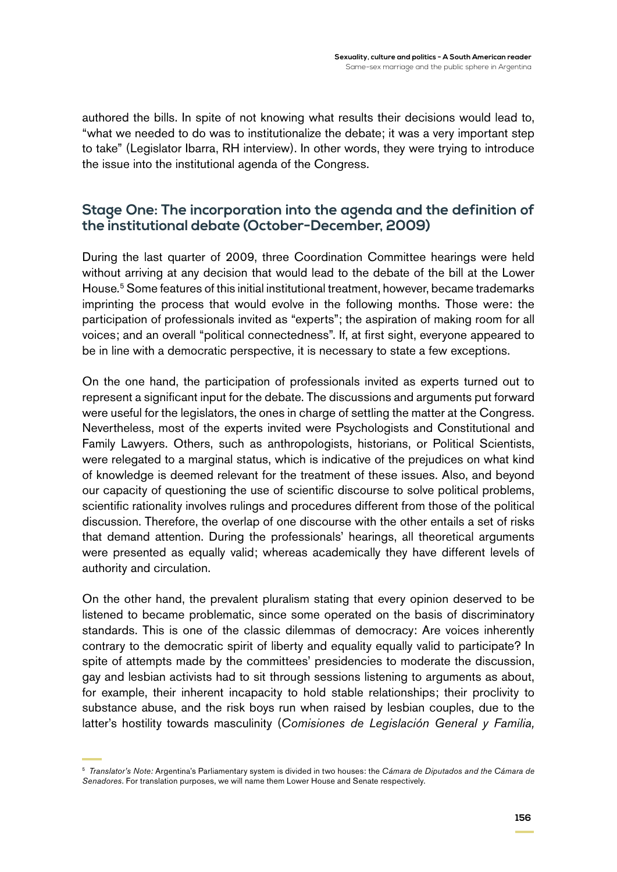authored the bills. In spite of not knowing what results their decisions would lead to, "what we needed to do was to institutionalize the debate; it was a very important step to take" (Legislator Ibarra, RH interview). In other words, they were trying to introduce the issue into the institutional agenda of the Congress.

## **Stage One: The incorporation into the agenda and the definition of the institutional debate (October-December, 2009)**

During the last quarter of 2009, three Coordination Committee hearings were held without arriving at any decision that would lead to the debate of the bill at the Lower House*.* <sup>5</sup> Some features of this initial institutional treatment, however, became trademarks imprinting the process that would evolve in the following months. Those were: the participation of professionals invited as "experts"; the aspiration of making room for all voices; and an overall "political connectedness". If, at first sight, everyone appeared to be in line with a democratic perspective, it is necessary to state a few exceptions.

On the one hand, the participation of professionals invited as experts turned out to represent a significant input for the debate. The discussions and arguments put forward were useful for the legislators, the ones in charge of settling the matter at the Congress. Nevertheless, most of the experts invited were Psychologists and Constitutional and Family Lawyers. Others, such as anthropologists, historians, or Political Scientists, were relegated to a marginal status, which is indicative of the prejudices on what kind of knowledge is deemed relevant for the treatment of these issues. Also, and beyond our capacity of questioning the use of scientific discourse to solve political problems, scientific rationality involves rulings and procedures different from those of the political discussion. Therefore, the overlap of one discourse with the other entails a set of risks that demand attention. During the professionals' hearings, all theoretical arguments were presented as equally valid; whereas academically they have different levels of authority and circulation.

On the other hand, the prevalent pluralism stating that every opinion deserved to be listened to became problematic, since some operated on the basis of discriminatory standards. This is one of the classic dilemmas of democracy: Are voices inherently contrary to the democratic spirit of liberty and equality equally valid to participate? In spite of attempts made by the committees' presidencies to moderate the discussion, gay and lesbian activists had to sit through sessions listening to arguments as about, for example, their inherent incapacity to hold stable relationships; their proclivity to substance abuse, and the risk boys run when raised by lesbian couples, due to the latter's hostility towards masculinity (*Comisiones de Legislación General y Familia,* 

<sup>5</sup> *Translator's Note:* Argentina's Parliamentary system is divided in two houses: the *Cámara de Diputados and the Cámara de Senadores*. For translation purposes, we will name them Lower House and Senate respectively.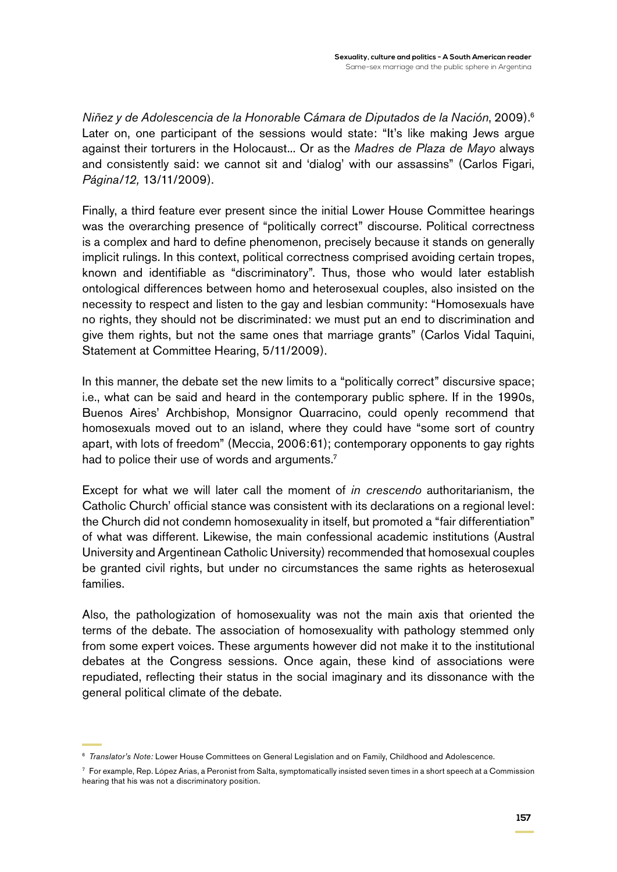*Niñez y de Adolescencia de la Honorable Cámara de Diputados de la Nación*, 2009).6 Later on, one participant of the sessions would state: "It's like making Jews argue against their torturers in the Holocaust... Or as the *Madres de Plaza de Mayo* always and consistently said: we cannot sit and 'dialog' with our assassins" (Carlos Figari, *Página/12,* 13/11/2009).

Finally, a third feature ever present since the initial Lower House Committee hearings was the overarching presence of "politically correct" discourse. Political correctness is a complex and hard to define phenomenon, precisely because it stands on generally implicit rulings. In this context, political correctness comprised avoiding certain tropes, known and identifiable as "discriminatory". Thus, those who would later establish ontological differences between homo and heterosexual couples, also insisted on the necessity to respect and listen to the gay and lesbian community: "Homosexuals have no rights, they should not be discriminated: we must put an end to discrimination and give them rights, but not the same ones that marriage grants" (Carlos Vidal Taquini, Statement at Committee Hearing, 5/11/2009).

In this manner, the debate set the new limits to a "politically correct" discursive space; i.e., what can be said and heard in the contemporary public sphere. If in the 1990s, Buenos Aires' Archbishop, Monsignor Quarracino, could openly recommend that homosexuals moved out to an island, where they could have "some sort of country apart, with lots of freedom" (Meccia, 2006:61); contemporary opponents to gay rights had to police their use of words and arguments.<sup>7</sup>

Except for what we will later call the moment of *in crescendo* authoritarianism, the Catholic Church' official stance was consistent with its declarations on a regional level: the Church did not condemn homosexuality in itself, but promoted a "fair differentiation" of what was different. Likewise, the main confessional academic institutions (Austral University and Argentinean Catholic University) recommended that homosexual couples be granted civil rights, but under no circumstances the same rights as heterosexual families.

Also, the pathologization of homosexuality was not the main axis that oriented the terms of the debate. The association of homosexuality with pathology stemmed only from some expert voices. These arguments however did not make it to the institutional debates at the Congress sessions. Once again, these kind of associations were repudiated, reflecting their status in the social imaginary and its dissonance with the general political climate of the debate.

<sup>6</sup> *Translator's Note:* Lower House Committees on General Legislation and on Family, Childhood and Adolescence.

 $7$  For example, Rep. López Arias, a Peronist from Salta, symptomatically insisted seven times in a short speech at a Commission hearing that his was not a discriminatory position.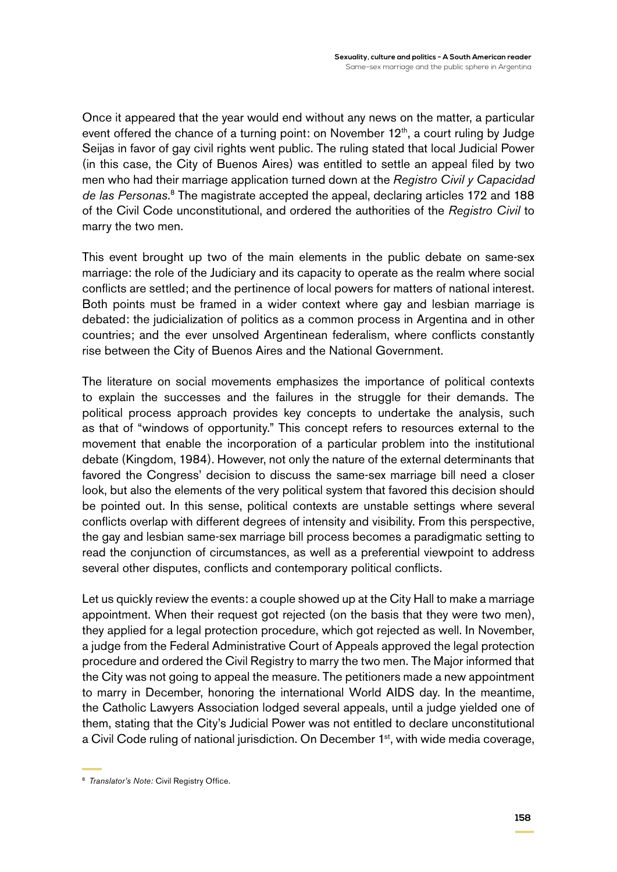Once it appeared that the year would end without any news on the matter, a particular event offered the chance of a turning point: on November  $12<sup>th</sup>$ , a court ruling by Judge Seijas in favor of gay civil rights went public. The ruling stated that local Judicial Power (in this case, the City of Buenos Aires) was entitled to settle an appeal filed by two men who had their marriage application turned down at the *Registro Civil y Capacidad de las Personas*. 8 The magistrate accepted the appeal, declaring articles 172 and 188 of the Civil Code unconstitutional, and ordered the authorities of the *Registro Civil* to marry the two men.

This event brought up two of the main elements in the public debate on same-sex marriage: the role of the Judiciary and its capacity to operate as the realm where social conflicts are settled; and the pertinence of local powers for matters of national interest. Both points must be framed in a wider context where gay and lesbian marriage is debated: the judicialization of politics as a common process in Argentina and in other countries; and the ever unsolved Argentinean federalism, where conflicts constantly rise between the City of Buenos Aires and the National Government.

The literature on social movements emphasizes the importance of political contexts to explain the successes and the failures in the struggle for their demands. The political process approach provides key concepts to undertake the analysis, such as that of "windows of opportunity." This concept refers to resources external to the movement that enable the incorporation of a particular problem into the institutional debate (Kingdom, 1984). However, not only the nature of the external determinants that favored the Congress' decision to discuss the same-sex marriage bill need a closer look, but also the elements of the very political system that favored this decision should be pointed out. In this sense, political contexts are unstable settings where several conflicts overlap with different degrees of intensity and visibility. From this perspective, the gay and lesbian same-sex marriage bill process becomes a paradigmatic setting to read the conjunction of circumstances, as well as a preferential viewpoint to address several other disputes, conflicts and contemporary political conflicts.

Let us quickly review the events: a couple showed up at the City Hall to make a marriage appointment. When their request got rejected (on the basis that they were two men), they applied for a legal protection procedure, which got rejected as well. In November, a judge from the Federal Administrative Court of Appeals approved the legal protection procedure and ordered the Civil Registry to marry the two men. The Major informed that the City was not going to appeal the measure. The petitioners made a new appointment to marry in December, honoring the international World AIDS day. In the meantime, the Catholic Lawyers Association lodged several appeals, until a judge yielded one of them, stating that the City's Judicial Power was not entitled to declare unconstitutional a Civil Code ruling of national jurisdiction. On December 1<sup>st</sup>, with wide media coverage,

<sup>8</sup> *Translator's Note:* Civil Registry Office.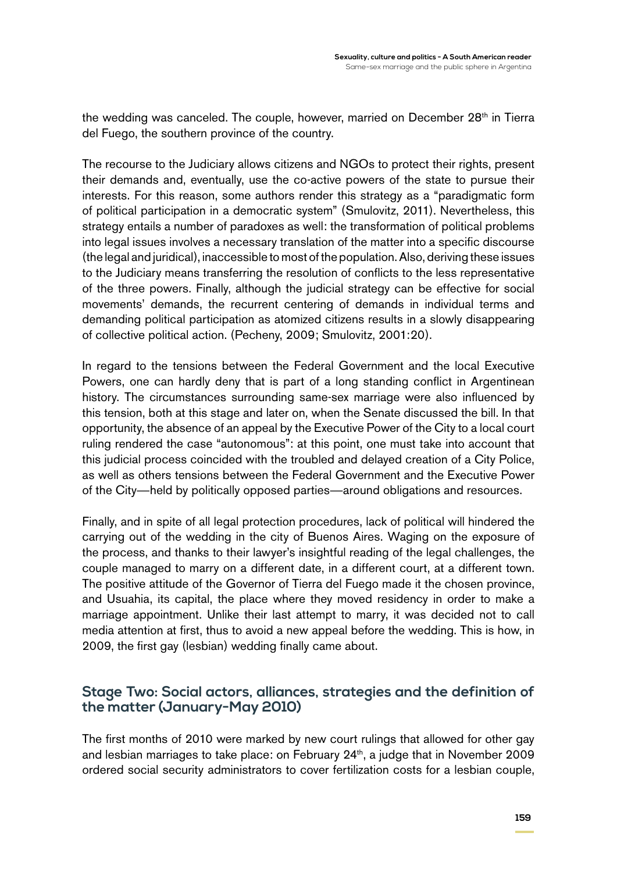the wedding was canceled. The couple, however, married on December 28<sup>th</sup> in Tierra del Fuego, the southern province of the country.

The recourse to the Judiciary allows citizens and NGOs to protect their rights, present their demands and, eventually, use the co-active powers of the state to pursue their interests. For this reason, some authors render this strategy as a "paradigmatic form of political participation in a democratic system" (Smulovitz, 2011). Nevertheless, this strategy entails a number of paradoxes as well: the transformation of political problems into legal issues involves a necessary translation of the matter into a specific discourse (the legal and juridical), inaccessible to most of the population. Also, deriving these issues to the Judiciary means transferring the resolution of conflicts to the less representative of the three powers. Finally, although the judicial strategy can be effective for social movements' demands, the recurrent centering of demands in individual terms and demanding political participation as atomized citizens results in a slowly disappearing of collective political action. (Pecheny, 2009; Smulovitz, 2001:20).

In regard to the tensions between the Federal Government and the local Executive Powers, one can hardly deny that is part of a long standing conflict in Argentinean history. The circumstances surrounding same-sex marriage were also influenced by this tension, both at this stage and later on, when the Senate discussed the bill. In that opportunity, the absence of an appeal by the Executive Power of the City to a local court ruling rendered the case "autonomous": at this point, one must take into account that this judicial process coincided with the troubled and delayed creation of a City Police, as well as others tensions between the Federal Government and the Executive Power of the City—held by politically opposed parties—around obligations and resources.

Finally, and in spite of all legal protection procedures, lack of political will hindered the carrying out of the wedding in the city of Buenos Aires. Waging on the exposure of the process, and thanks to their lawyer's insightful reading of the legal challenges, the couple managed to marry on a different date, in a different court, at a different town. The positive attitude of the Governor of Tierra del Fuego made it the chosen province, and Usuahia, its capital, the place where they moved residency in order to make a marriage appointment. Unlike their last attempt to marry, it was decided not to call media attention at first, thus to avoid a new appeal before the wedding. This is how, in 2009, the first gay (lesbian) wedding finally came about.

## **Stage Two: Social actors, alliances, strategies and the definition of the matter (January-May 2010)**

The first months of 2010 were marked by new court rulings that allowed for other gay and lesbian marriages to take place: on February 24<sup>th</sup>, a judge that in November 2009 ordered social security administrators to cover fertilization costs for a lesbian couple,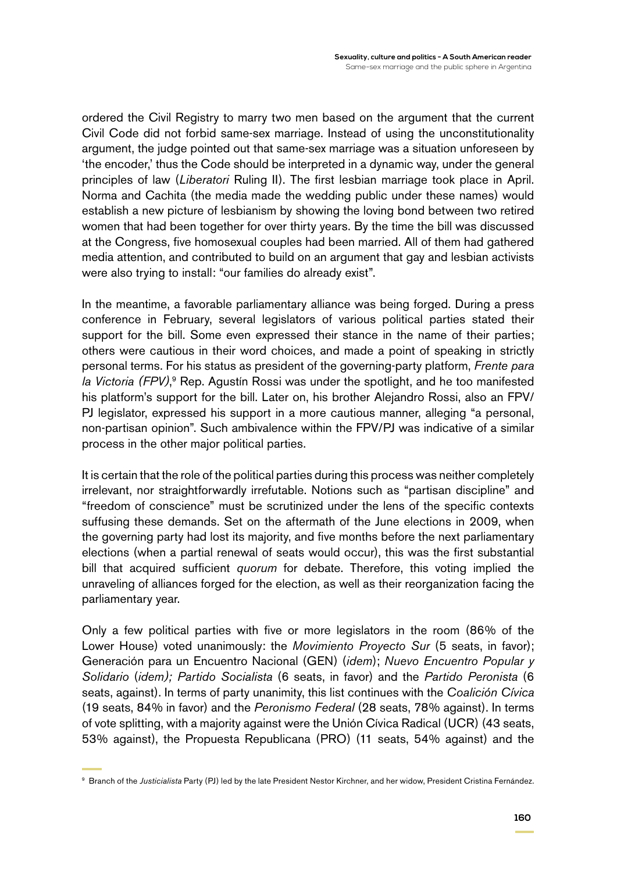ordered the Civil Registry to marry two men based on the argument that the current Civil Code did not forbid same-sex marriage. Instead of using the unconstitutionality argument, the judge pointed out that same-sex marriage was a situation unforeseen by 'the encoder,' thus the Code should be interpreted in a dynamic way, under the general principles of law (*Liberatori* Ruling II). The first lesbian marriage took place in April. Norma and Cachita (the media made the wedding public under these names) would establish a new picture of lesbianism by showing the loving bond between two retired women that had been together for over thirty years. By the time the bill was discussed at the Congress, five homosexual couples had been married. All of them had gathered media attention, and contributed to build on an argument that gay and lesbian activists were also trying to install: "our families do already exist".

In the meantime, a favorable parliamentary alliance was being forged. During a press conference in February, several legislators of various political parties stated their support for the bill. Some even expressed their stance in the name of their parties; others were cautious in their word choices, and made a point of speaking in strictly personal terms. For his status as president of the governing-party platform, *Frente para*  la Victoria (FPV),<sup>9</sup> Rep. Agustín Rossi was under the spotlight, and he too manifested his platform's support for the bill. Later on, his brother Alejandro Rossi, also an FPV/ PJ legislator, expressed his support in a more cautious manner, alleging "a personal, non-partisan opinion". Such ambivalence within the FPV/PJ was indicative of a similar process in the other major political parties.

It is certain that the role of the political parties during this process was neither completely irrelevant, nor straightforwardly irrefutable. Notions such as "partisan discipline" and "freedom of conscience" must be scrutinized under the lens of the specific contexts suffusing these demands. Set on the aftermath of the June elections in 2009, when the governing party had lost its majority, and five months before the next parliamentary elections (when a partial renewal of seats would occur), this was the first substantial bill that acquired sufficient *quorum* for debate. Therefore, this voting implied the unraveling of alliances forged for the election, as well as their reorganization facing the parliamentary year.

Only a few political parties with five or more legislators in the room (86% of the Lower House) voted unanimously: the *Movimiento Proyecto Sur* (5 seats, in favor); Generación para un Encuentro Nacional (GEN) (*idem*); *Nuevo Encuentro Popular y Solidario* (*idem); Partido Socialista* (6 seats, in favor) and the *Partido Peronista* (6 seats, against). In terms of party unanimity, this list continues with the *Coalición Cívica* (19 seats, 84% in favor) and the *Peronismo Federal* (28 seats, 78% against). In terms of vote splitting, with a majority against were the Unión Cívica Radical (UCR) (43 seats, 53% against), the Propuesta Republicana (PRO) (11 seats, 54% against) and the

<sup>9</sup> Branch of the *Justicialista* Party (PJ) led by the late President Nestor Kirchner, and her widow, President Cristina Fernández.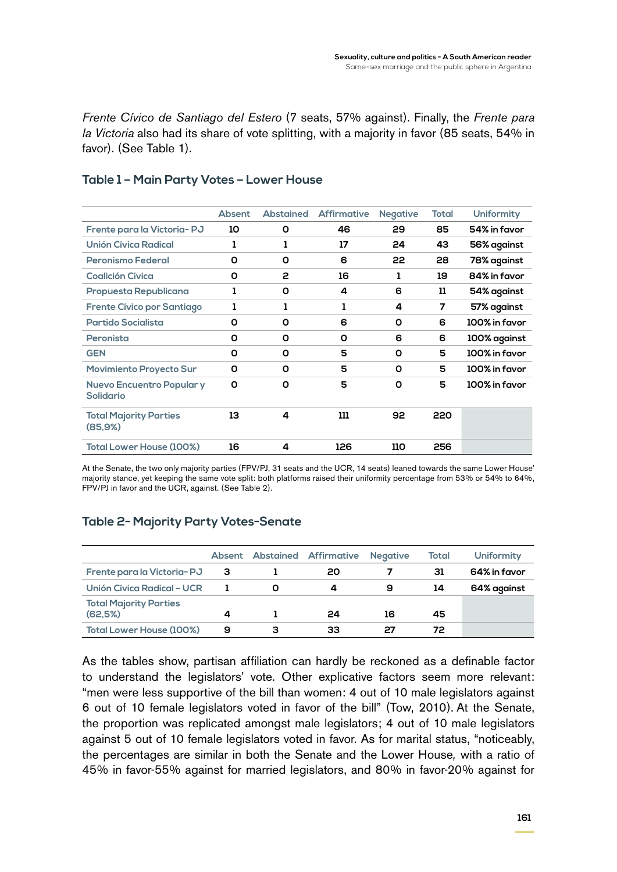*Frente Cívico de Santiago del Estero* (7 seats, 57% against). Finally, the *Frente para la Victoria* also had its share of vote splitting, with a majority in favor (85 seats, 54% in favor). (See Table 1).

|                                                      | <b>Absent</b> | <b>Abstained</b> | <b>Affirmative</b> | <b>Negative</b> | Total | <b>Uniformity</b> |
|------------------------------------------------------|---------------|------------------|--------------------|-----------------|-------|-------------------|
| Frente para la Victoria-PJ                           | 10            | O                | 46                 | 29              | 85    | 54% in favor      |
| Unión Cívica Radical                                 | ı             | ı                | 17                 | 24              | 43    | 56% against       |
| <b>Peronismo Federal</b>                             | 0             | O                | 6                  | 22              | 28    | 78% against       |
| <b>Coalición Cívica</b>                              | O             | 2                | 16                 | ı               | 19    | 84% in favor      |
| Propuesta Republicana                                | ı             | O                | 4                  | 6               | 11    | 54% against       |
| <b>Frente Cívico por Santiago</b>                    | ı             | ı                | ı                  | 4               | 7     | 57% against       |
| Partido Socialista                                   | 0             | O                | 6                  | O               | 6     | 100% in favor     |
| Peronista                                            | 0             | O                | 0                  | 6               | 6     | 100% against      |
| <b>GEN</b>                                           | O             | O                | 5                  | O               | 5     | 100% in favor     |
| <b>Movimiento Proyecto Sur</b>                       | 0             | O                | 5                  | O               | 5     | 100% in favor     |
| <b>Nuevo Encuentro Popular y</b><br><b>Solidario</b> | O             | O                | 5                  | O               | 5     | 100% in favor     |
| <b>Total Majority Parties</b><br>(85.9%)             | 13            | 4                | 111                | 92              | 220   |                   |
| <b>Total Lower House (100%)</b>                      | 16            | 4                | 126                | 110             | 256   |                   |

#### **Table 1 – Main Party Votes – Lower House**

At the Senate, the two only majority parties (FPV/PJ, 31 seats and the UCR, 14 seats) leaned towards the same Lower House' majority stance, yet keeping the same vote split: both platforms raised their uniformity percentage from 53% or 54% to 64%, FPV/PJ in favor and the UCR, against. (See Table 2).

### **Table 2- Majority Party Votes-Senate**

|                                          |   |   | <b>Absent Abstained Affirmative</b> | <b>Negative</b> | Total | <b>Uniformity</b> |
|------------------------------------------|---|---|-------------------------------------|-----------------|-------|-------------------|
| Frente para la Victoria-PJ               | з |   | 20                                  |                 | 31    | 64% in favor      |
| Unión Cívica Radical - UCR               |   | O | 4                                   | 9               | 14    | 64% against       |
| <b>Total Majority Parties</b><br>(62.5%) | 4 |   | 24                                  | 16              | 45    |                   |
| <b>Total Lower House (100%)</b>          | 9 | з | 33                                  | 27              | 72.   |                   |

As the tables show, partisan affiliation can hardly be reckoned as a definable factor to understand the legislators' vote. Other explicative factors seem more relevant: "men were less supportive of the bill than women: 4 out of 10 male legislators against 6 out of 10 female legislators voted in favor of the bill" (Tow, 2010). At the Senate, the proportion was replicated amongst male legislators; 4 out of 10 male legislators against 5 out of 10 female legislators voted in favor. As for marital status, "noticeably, the percentages are similar in both the Senate and the Lower House*,* with a ratio of 45% in favor-55% against for married legislators, and 80% in favor-20% against for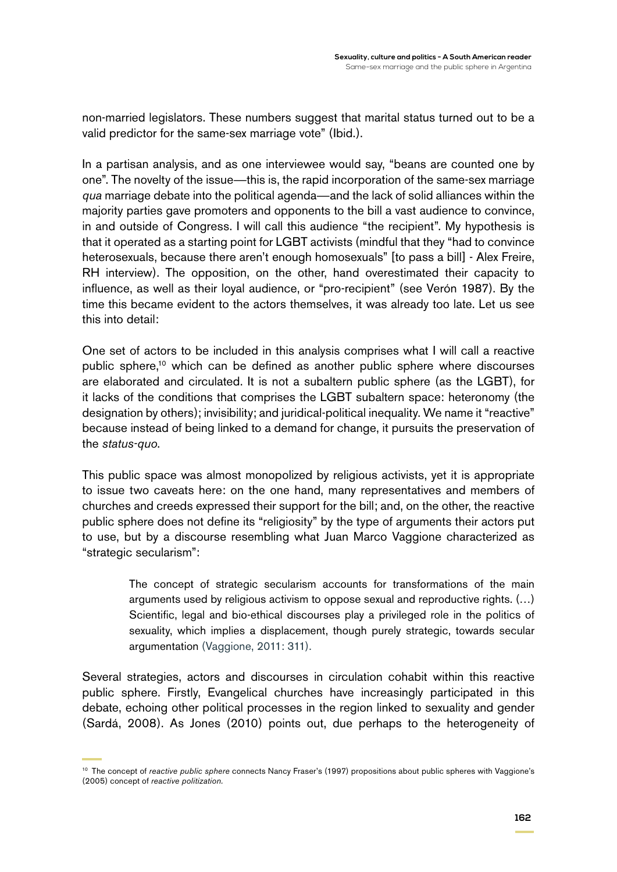non-married legislators. These numbers suggest that marital status turned out to be a valid predictor for the same-sex marriage vote" (Ibid.).

In a partisan analysis, and as one interviewee would say, "beans are counted one by one". The novelty of the issue—this is, the rapid incorporation of the same-sex marriage *qua* marriage debate into the political agenda—and the lack of solid alliances within the majority parties gave promoters and opponents to the bill a vast audience to convince, in and outside of Congress. I will call this audience "the recipient". My hypothesis is that it operated as a starting point for LGBT activists (mindful that they "had to convince heterosexuals, because there aren't enough homosexuals" [to pass a bill] - Alex Freire, RH interview). The opposition, on the other, hand overestimated their capacity to influence, as well as their loyal audience, or "pro-recipient" (see Verón 1987). By the time this became evident to the actors themselves, it was already too late. Let us see this into detail:

One set of actors to be included in this analysis comprises what I will call a reactive public sphere,10 which can be defined as another public sphere where discourses are elaborated and circulated. It is not a subaltern public sphere (as the LGBT), for it lacks of the conditions that comprises the LGBT subaltern space: heteronomy (the designation by others); invisibility; and juridical-political inequality. We name it "reactive" because instead of being linked to a demand for change, it pursuits the preservation of the *status-quo*.

This public space was almost monopolized by religious activists, yet it is appropriate to issue two caveats here: on the one hand, many representatives and members of churches and creeds expressed their support for the bill; and, on the other, the reactive public sphere does not define its "religiosity" by the type of arguments their actors put to use, but by a discourse resembling what Juan Marco Vaggione characterized as "strategic secularism":

> The concept of strategic secularism accounts for transformations of the main arguments used by religious activism to oppose sexual and reproductive rights. (…) Scientific, legal and bio-ethical discourses play a privileged role in the politics of sexuality, which implies a displacement, though purely strategic, towards secular argumentation (Vaggione, 2011: 311).

Several strategies, actors and discourses in circulation cohabit within this reactive public sphere. Firstly, Evangelical churches have increasingly participated in this debate, echoing other political processes in the region linked to sexuality and gender (Sardá, 2008). As Jones (2010) points out, due perhaps to the heterogeneity of

<sup>&</sup>lt;sup>10</sup> The concept of *reactive public sphere* connects Nancy Fraser's (1997) propositions about public spheres with Vaggione's (2005) concept of *reactive politization.*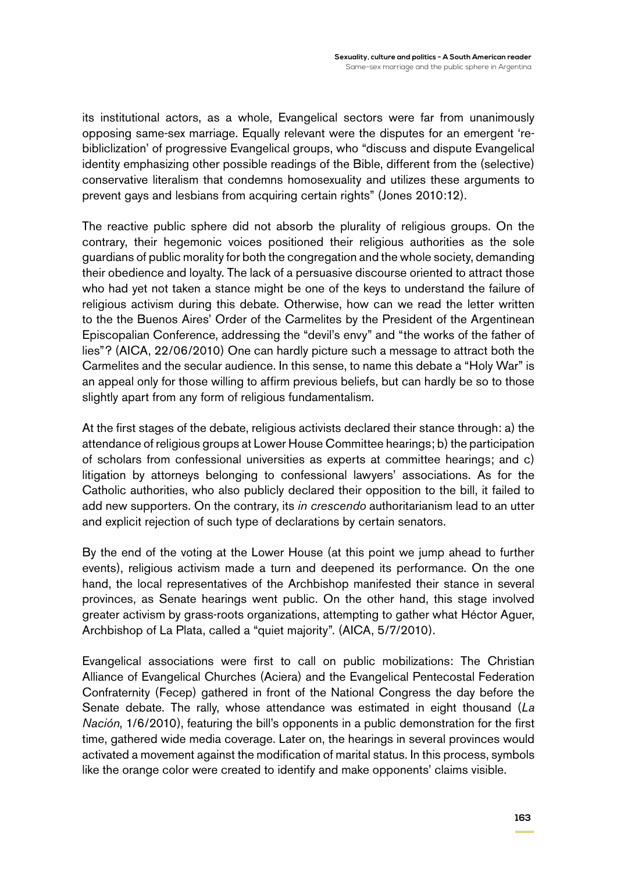its institutional actors, as a whole, Evangelical sectors were far from unanimously opposing same-sex marriage. Equally relevant were the disputes for an emergent 'rebibliclization' of progressive Evangelical groups, who "discuss and dispute Evangelical identity emphasizing other possible readings of the Bible, different from the (selective) conservative literalism that condemns homosexuality and utilizes these arguments to prevent gays and lesbians from acquiring certain rights" (Jones 2010:12).

The reactive public sphere did not absorb the plurality of religious groups. On the contrary, their hegemonic voices positioned their religious authorities as the sole guardians of public morality for both the congregation and the whole society, demanding their obedience and loyalty. The lack of a persuasive discourse oriented to attract those who had yet not taken a stance might be one of the keys to understand the failure of religious activism during this debate. Otherwise, how can we read the letter written to the the Buenos Aires' Order of the Carmelites by the President of the Argentinean Episcopalian Conference, addressing the "devil's envy" and "the works of the father of lies"? (AICA, 22/06/2010) One can hardly picture such a message to attract both the Carmelites and the secular audience. In this sense, to name this debate a "Holy War" is an appeal only for those willing to affirm previous beliefs, but can hardly be so to those slightly apart from any form of religious fundamentalism.

At the first stages of the debate, religious activists declared their stance through: a) the attendance of religious groups at Lower House Committee hearings; b) the participation of scholars from confessional universities as experts at committee hearings; and c) litigation by attorneys belonging to confessional lawyers' associations. As for the Catholic authorities, who also publicly declared their opposition to the bill, it failed to add new supporters. On the contrary, its *in crescendo* authoritarianism lead to an utter and explicit rejection of such type of declarations by certain senators.

By the end of the voting at the Lower House (at this point we jump ahead to further events), religious activism made a turn and deepened its performance. On the one hand, the local representatives of the Archbishop manifested their stance in several provinces, as Senate hearings went public. On the other hand, this stage involved greater activism by grass-roots organizations, attempting to gather what Héctor Aguer, Archbishop of La Plata, called a "quiet majority". (AICA, 5/7/2010).

Evangelical associations were first to call on public mobilizations: The Christian Alliance of Evangelical Churches (Aciera) and the Evangelical Pentecostal Federation Confraternity (Fecep) gathered in front of the National Congress the day before the Senate debate. The rally, whose attendance was estimated in eight thousand (*La Nación*, 1/6/2010), featuring the bill's opponents in a public demonstration for the first time, gathered wide media coverage. Later on, the hearings in several provinces would activated a movement against the modification of marital status. In this process, symbols like the orange color were created to identify and make opponents' claims visible.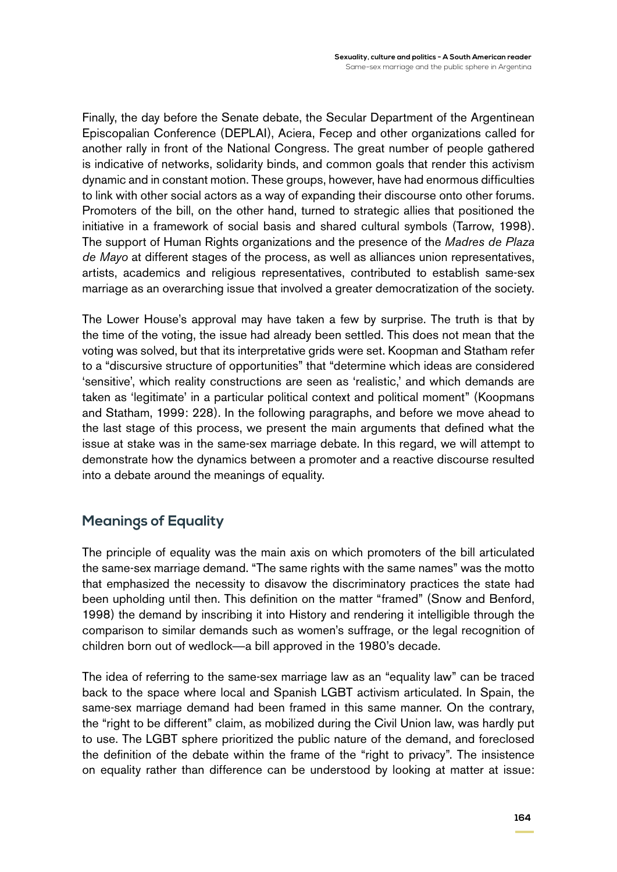Finally, the day before the Senate debate, the Secular Department of the Argentinean Episcopalian Conference (DEPLAI), Aciera, Fecep and other organizations called for another rally in front of the National Congress. The great number of people gathered is indicative of networks, solidarity binds, and common goals that render this activism dynamic and in constant motion. These groups, however, have had enormous difficulties to link with other social actors as a way of expanding their discourse onto other forums. Promoters of the bill, on the other hand, turned to strategic allies that positioned the initiative in a framework of social basis and shared cultural symbols (Tarrow, 1998). The support of Human Rights organizations and the presence of the *Madres de Plaza de Mayo* at different stages of the process, as well as alliances union representatives, artists, academics and religious representatives, contributed to establish same-sex marriage as an overarching issue that involved a greater democratization of the society.

The Lower House's approval may have taken a few by surprise. The truth is that by the time of the voting, the issue had already been settled. This does not mean that the voting was solved, but that its interpretative grids were set. Koopman and Statham refer to a "discursive structure of opportunities" that "determine which ideas are considered 'sensitive', which reality constructions are seen as 'realistic,' and which demands are taken as 'legitimate' in a particular political context and political moment" (Koopmans and Statham, 1999: 228). In the following paragraphs, and before we move ahead to the last stage of this process, we present the main arguments that defined what the issue at stake was in the same-sex marriage debate. In this regard, we will attempt to demonstrate how the dynamics between a promoter and a reactive discourse resulted into a debate around the meanings of equality.

# **Meanings of Equality**

The principle of equality was the main axis on which promoters of the bill articulated the same-sex marriage demand. "The same rights with the same names" was the motto that emphasized the necessity to disavow the discriminatory practices the state had been upholding until then. This definition on the matter "framed" (Snow and Benford, 1998) the demand by inscribing it into History and rendering it intelligible through the comparison to similar demands such as women's suffrage, or the legal recognition of children born out of wedlock—a bill approved in the 1980's decade.

The idea of referring to the same-sex marriage law as an "equality law" can be traced back to the space where local and Spanish LGBT activism articulated. In Spain, the same-sex marriage demand had been framed in this same manner. On the contrary, the "right to be different" claim, as mobilized during the Civil Union law, was hardly put to use. The LGBT sphere prioritized the public nature of the demand, and foreclosed the definition of the debate within the frame of the "right to privacy". The insistence on equality rather than difference can be understood by looking at matter at issue: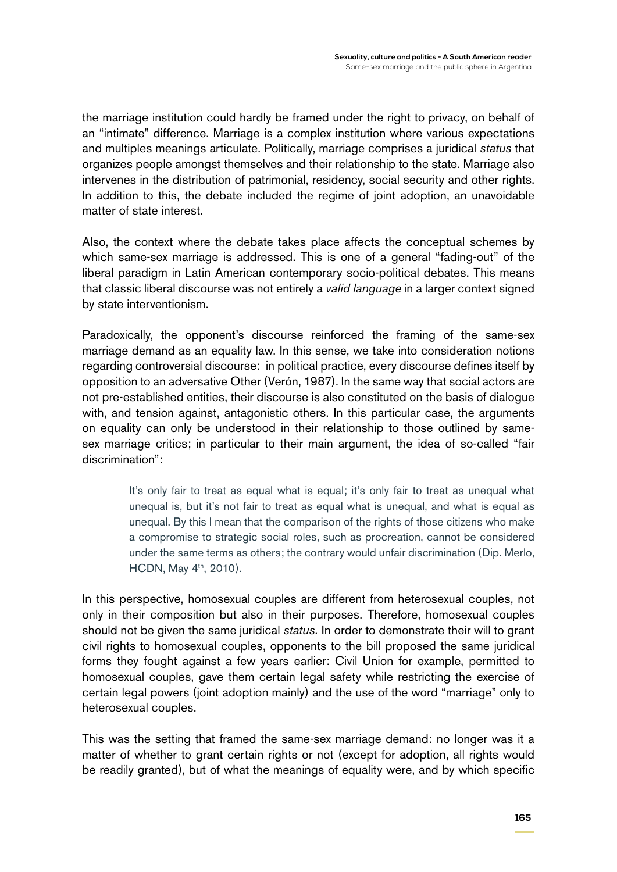the marriage institution could hardly be framed under the right to privacy, on behalf of an "intimate" difference. Marriage is a complex institution where various expectations and multiples meanings articulate. Politically, marriage comprises a juridical *status* that organizes people amongst themselves and their relationship to the state. Marriage also intervenes in the distribution of patrimonial, residency, social security and other rights. In addition to this, the debate included the regime of joint adoption, an unavoidable matter of state interest.

Also, the context where the debate takes place affects the conceptual schemes by which same-sex marriage is addressed. This is one of a general "fading-out" of the liberal paradigm in Latin American contemporary socio-political debates. This means that classic liberal discourse was not entirely a *valid language* in a larger context signed by state interventionism.

Paradoxically, the opponent's discourse reinforced the framing of the same-sex marriage demand as an equality law. In this sense, we take into consideration notions regarding controversial discourse: in political practice, every discourse defines itself by opposition to an adversative Other (Verón, 1987). In the same way that social actors are not pre-established entities, their discourse is also constituted on the basis of dialogue with, and tension against, antagonistic others. In this particular case, the arguments on equality can only be understood in their relationship to those outlined by samesex marriage critics; in particular to their main argument, the idea of so-called "fair discrimination":

> It's only fair to treat as equal what is equal; it's only fair to treat as unequal what unequal is, but it's not fair to treat as equal what is unequal, and what is equal as unequal. By this I mean that the comparison of the rights of those citizens who make a compromise to strategic social roles, such as procreation, cannot be considered under the same terms as others; the contrary would unfair discrimination (Dip. Merlo, HCDN, May 4<sup>th</sup>, 2010).

In this perspective, homosexual couples are different from heterosexual couples, not only in their composition but also in their purposes. Therefore, homosexual couples should not be given the same juridical *status.* In order to demonstrate their will to grant civil rights to homosexual couples, opponents to the bill proposed the same juridical forms they fought against a few years earlier: Civil Union for example, permitted to homosexual couples, gave them certain legal safety while restricting the exercise of certain legal powers (joint adoption mainly) and the use of the word "marriage" only to heterosexual couples.

This was the setting that framed the same-sex marriage demand: no longer was it a matter of whether to grant certain rights or not (except for adoption, all rights would be readily granted), but of what the meanings of equality were, and by which specific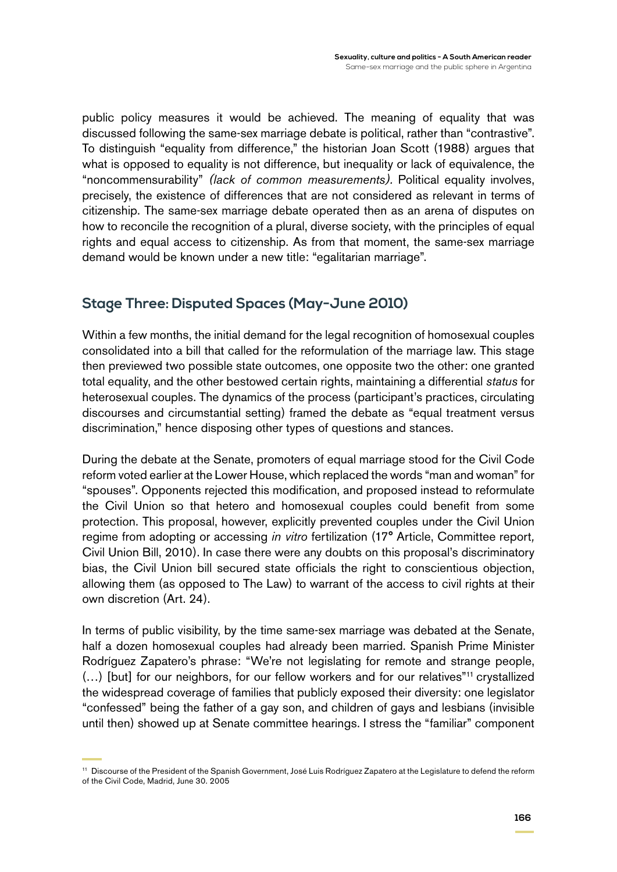public policy measures it would be achieved. The meaning of equality that was discussed following the same-sex marriage debate is political, rather than "contrastive". To distinguish "equality from difference," the historian Joan Scott (1988) argues that what is opposed to equality is not difference, but inequality or lack of equivalence, the "noncommensurability" *(lack of common measurements).* Political equality involves, precisely, the existence of differences that are not considered as relevant in terms of citizenship. The same-sex marriage debate operated then as an arena of disputes on how to reconcile the recognition of a plural, diverse society, with the principles of equal rights and equal access to citizenship. As from that moment, the same-sex marriage demand would be known under a new title: "egalitarian marriage".

# **Stage Three: Disputed Spaces (May-June 2010)**

Within a few months, the initial demand for the legal recognition of homosexual couples consolidated into a bill that called for the reformulation of the marriage law. This stage then previewed two possible state outcomes, one opposite two the other: one granted total equality, and the other bestowed certain rights, maintaining a differential *status* for heterosexual couples. The dynamics of the process (participant's practices, circulating discourses and circumstantial setting) framed the debate as "equal treatment versus discrimination," hence disposing other types of questions and stances.

During the debate at the Senate, promoters of equal marriage stood for the Civil Code reform voted earlier at the Lower House, which replaced the words "man and woman" for "spouses". Opponents rejected this modification, and proposed instead to reformulate the Civil Union so that hetero and homosexual couples could benefit from some protection. This proposal, however, explicitly prevented couples under the Civil Union regime from adopting or accessing *in vitro* fertilization (17° Article, Committee report*,* Civil Union Bill, 2010). In case there were any doubts on this proposal's discriminatory bias, the Civil Union bill secured state officials the right to conscientious objection, allowing them (as opposed to The Law) to warrant of the access to civil rights at their own discretion (Art. 24).

In terms of public visibility, by the time same-sex marriage was debated at the Senate, half a dozen homosexual couples had already been married. Spanish Prime Minister Rodríguez Zapatero's phrase: "We're not legislating for remote and strange people, (…) [but] for our neighbors, for our fellow workers and for our relatives"11 crystallized the widespread coverage of families that publicly exposed their diversity: one legislator "confessed" being the father of a gay son, and children of gays and lesbians (invisible until then) showed up at Senate committee hearings. I stress the "familiar" component

<sup>11</sup> Discourse of the President of the Spanish Government, José Luis Rodríguez Zapatero at the Legislature to defend the reform of the Civil Code, Madrid, June 30. 2005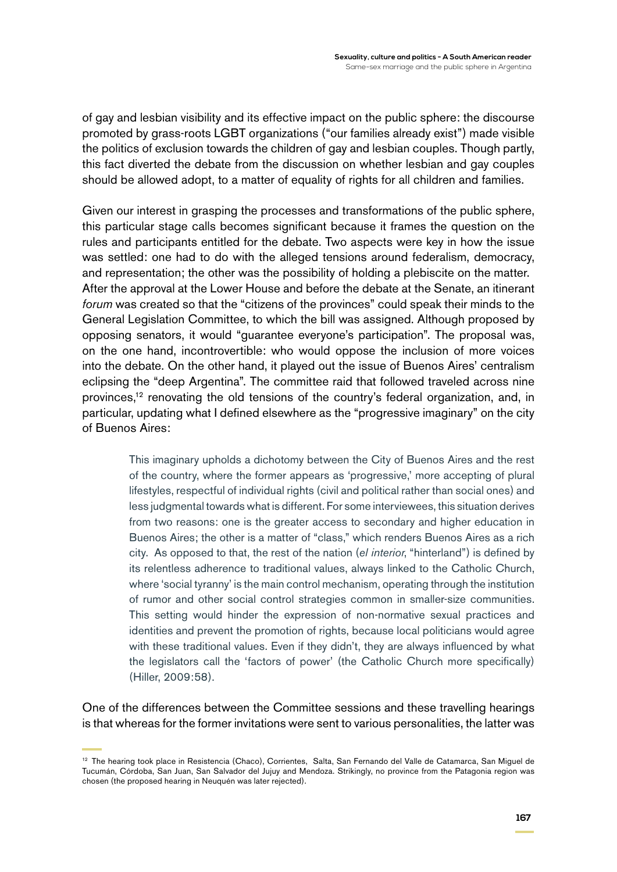of gay and lesbian visibility and its effective impact on the public sphere: the discourse promoted by grass-roots LGBT organizations ("our families already exist") made visible the politics of exclusion towards the children of gay and lesbian couples. Though partly, this fact diverted the debate from the discussion on whether lesbian and gay couples should be allowed adopt, to a matter of equality of rights for all children and families.

Given our interest in grasping the processes and transformations of the public sphere, this particular stage calls becomes significant because it frames the question on the rules and participants entitled for the debate. Two aspects were key in how the issue was settled: one had to do with the alleged tensions around federalism, democracy, and representation; the other was the possibility of holding a plebiscite on the matter. After the approval at the Lower House and before the debate at the Senate, an itinerant *forum* was created so that the "citizens of the provinces" could speak their minds to the General Legislation Committee, to which the bill was assigned. Although proposed by opposing senators, it would "guarantee everyone's participation". The proposal was, on the one hand, incontrovertible: who would oppose the inclusion of more voices into the debate. On the other hand, it played out the issue of Buenos Aires' centralism eclipsing the "deep Argentina". The committee raid that followed traveled across nine provinces,<sup>12</sup> renovating the old tensions of the country's federal organization, and, in particular, updating what I defined elsewhere as the "progressive imaginary" on the city of Buenos Aires:

> This imaginary upholds a dichotomy between the City of Buenos Aires and the rest of the country, where the former appears as 'progressive,' more accepting of plural lifestyles, respectful of individual rights (civil and political rather than social ones) and less judgmental towards what is different. For some interviewees, this situation derives from two reasons: one is the greater access to secondary and higher education in Buenos Aires; the other is a matter of "class," which renders Buenos Aires as a rich city. As opposed to that, the rest of the nation (*el interior*, "hinterland") is defined by its relentless adherence to traditional values, always linked to the Catholic Church, where 'social tyranny' is the main control mechanism, operating through the institution of rumor and other social control strategies common in smaller-size communities. This setting would hinder the expression of non-normative sexual practices and identities and prevent the promotion of rights, because local politicians would agree with these traditional values. Even if they didn't, they are always influenced by what the legislators call the 'factors of power' (the Catholic Church more specifically) (Hiller, 2009:58).

One of the differences between the Committee sessions and these travelling hearings is that whereas for the former invitations were sent to various personalities, the latter was

<sup>12</sup> The hearing took place in Resistencia (Chaco), Corrientes, Salta, San Fernando del Valle de Catamarca, San Miguel de Tucumán, Córdoba, San Juan, San Salvador del Jujuy and Mendoza. Strikingly, no province from the Patagonia region was chosen (the proposed hearing in Neuquén was later rejected).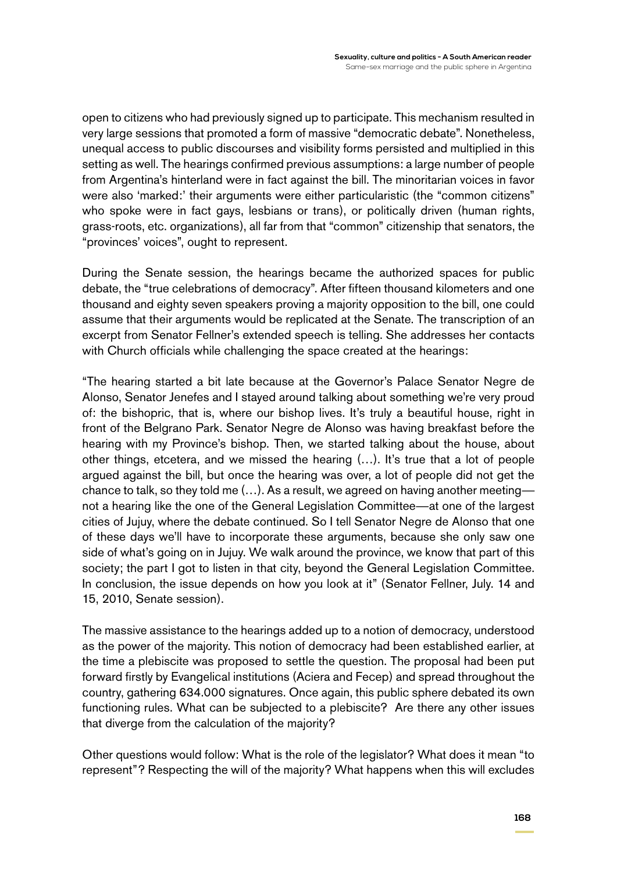open to citizens who had previously signed up to participate. This mechanism resulted in very large sessions that promoted a form of massive "democratic debate". Nonetheless, unequal access to public discourses and visibility forms persisted and multiplied in this setting as well. The hearings confirmed previous assumptions: a large number of people from Argentina's hinterland were in fact against the bill. The minoritarian voices in favor were also 'marked:' their arguments were either particularistic (the "common citizens" who spoke were in fact gays, lesbians or trans), or politically driven (human rights, grass-roots, etc. organizations), all far from that "common" citizenship that senators, the "provinces' voices", ought to represent.

During the Senate session, the hearings became the authorized spaces for public debate, the "true celebrations of democracy". After fifteen thousand kilometers and one thousand and eighty seven speakers proving a majority opposition to the bill, one could assume that their arguments would be replicated at the Senate. The transcription of an excerpt from Senator Fellner's extended speech is telling. She addresses her contacts with Church officials while challenging the space created at the hearings:

"The hearing started a bit late because at the Governor's Palace Senator Negre de Alonso, Senator Jenefes and I stayed around talking about something we're very proud of: the bishopric, that is, where our bishop lives. It's truly a beautiful house, right in front of the Belgrano Park. Senator Negre de Alonso was having breakfast before the hearing with my Province's bishop. Then, we started talking about the house, about other things, etcetera, and we missed the hearing (…). It's true that a lot of people argued against the bill, but once the hearing was over, a lot of people did not get the chance to talk, so they told me (…). As a result, we agreed on having another meeting not a hearing like the one of the General Legislation Committee—at one of the largest cities of Jujuy, where the debate continued. So I tell Senator Negre de Alonso that one of these days we'll have to incorporate these arguments, because she only saw one side of what's going on in Jujuy. We walk around the province, we know that part of this society; the part I got to listen in that city, beyond the General Legislation Committee. In conclusion, the issue depends on how you look at it" (Senator Fellner, July. 14 and 15, 2010, Senate session).

The massive assistance to the hearings added up to a notion of democracy, understood as the power of the majority. This notion of democracy had been established earlier, at the time a plebiscite was proposed to settle the question. The proposal had been put forward firstly by Evangelical institutions (Aciera and Fecep) and spread throughout the country, gathering 634.000 signatures. Once again, this public sphere debated its own functioning rules. What can be subjected to a plebiscite? Are there any other issues that diverge from the calculation of the majority?

Other questions would follow: What is the role of the legislator? What does it mean "to represent"? Respecting the will of the majority? What happens when this will excludes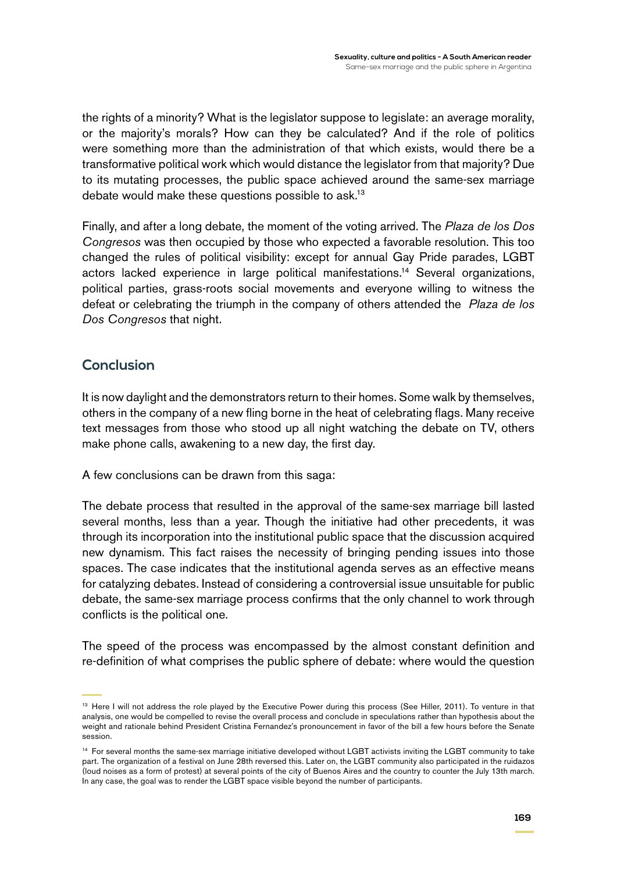the rights of a minority? What is the legislator suppose to legislate: an average morality, or the majority's morals? How can they be calculated? And if the role of politics were something more than the administration of that which exists, would there be a transformative political work which would distance the legislator from that majority? Due to its mutating processes, the public space achieved around the same-sex marriage debate would make these questions possible to ask.13

Finally, and after a long debate, the moment of the voting arrived. The *Plaza de los Dos Congresos* was then occupied by those who expected a favorable resolution. This too changed the rules of political visibility: except for annual Gay Pride parades, LGBT actors lacked experience in large political manifestations.14 Several organizations, political parties, grass-roots social movements and everyone willing to witness the defeat or celebrating the triumph in the company of others attended the *Plaza de los Dos Congresos* that night.

# **Conclusion**

It is now daylight and the demonstrators return to their homes. Some walk by themselves, others in the company of a new fling borne in the heat of celebrating flags. Many receive text messages from those who stood up all night watching the debate on TV, others make phone calls, awakening to a new day, the first day.

A few conclusions can be drawn from this saga:

The debate process that resulted in the approval of the same-sex marriage bill lasted several months, less than a year. Though the initiative had other precedents, it was through its incorporation into the institutional public space that the discussion acquired new dynamism. This fact raises the necessity of bringing pending issues into those spaces. The case indicates that the institutional agenda serves as an effective means for catalyzing debates. Instead of considering a controversial issue unsuitable for public debate, the same-sex marriage process confirms that the only channel to work through conflicts is the political one.

The speed of the process was encompassed by the almost constant definition and re-definition of what comprises the public sphere of debate: where would the question

<sup>&</sup>lt;sup>13</sup> Here I will not address the role played by the Executive Power during this process (See Hiller, 2011). To venture in that analysis, one would be compelled to revise the overall process and conclude in speculations rather than hypothesis about the weight and rationale behind President Cristina Fernandez's pronouncement in favor of the bill a few hours before the Senate session.

<sup>14</sup> For several months the same-sex marriage initiative developed without LGBT activists inviting the LGBT community to take part. The organization of a festival on June 28th reversed this. Later on, the LGBT community also participated in the ruidazos (loud noises as a form of protest) at several points of the city of Buenos Aires and the country to counter the July 13th march. In any case, the goal was to render the LGBT space visible beyond the number of participants.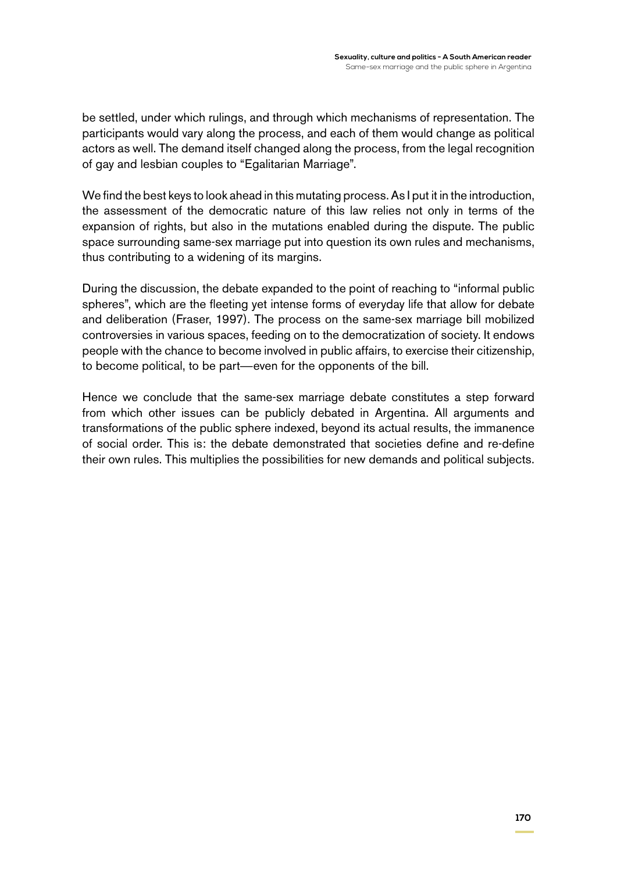be settled, under which rulings, and through which mechanisms of representation. The participants would vary along the process, and each of them would change as political actors as well. The demand itself changed along the process, from the legal recognition of gay and lesbian couples to "Egalitarian Marriage".

We find the best keys to look ahead in this mutating process. As I put it in the introduction, the assessment of the democratic nature of this law relies not only in terms of the expansion of rights, but also in the mutations enabled during the dispute. The public space surrounding same-sex marriage put into question its own rules and mechanisms, thus contributing to a widening of its margins.

During the discussion, the debate expanded to the point of reaching to "informal public spheres", which are the fleeting yet intense forms of everyday life that allow for debate and deliberation (Fraser, 1997). The process on the same-sex marriage bill mobilized controversies in various spaces, feeding on to the democratization of society. It endows people with the chance to become involved in public affairs, to exercise their citizenship, to become political, to be part—even for the opponents of the bill.

Hence we conclude that the same-sex marriage debate constitutes a step forward from which other issues can be publicly debated in Argentina. All arguments and transformations of the public sphere indexed, beyond its actual results, the immanence of social order. This is: the debate demonstrated that societies define and re-define their own rules. This multiplies the possibilities for new demands and political subjects.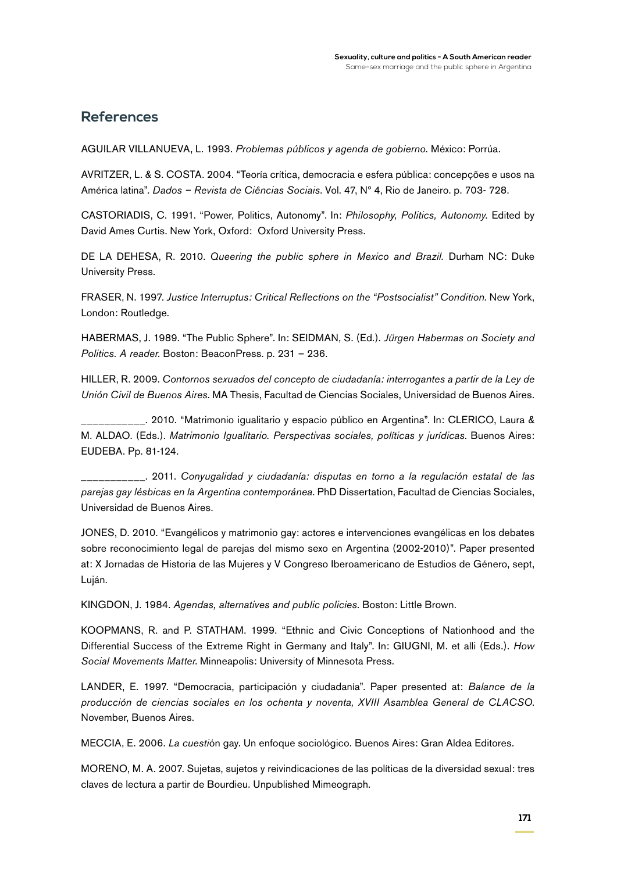### **References**

Aguilar Villanueva, L. 1993. *Problemas públicos y agenda de gobierno.* México: Porrúa.

AVRITZER, L. & S. COSTA. 2004. "Teoría crítica, democracia e esfera pública: concepções e usos na América latina". *Dados – Revista de Ciências Sociais*. Vol. 47, Nº 4, Rio de Janeiro. p. 703- 728.

Castoriadis, C. 1991. "Power, Politics, Autonomy". In: *Philosophy, Politics, Autonomy.* Edited by David Ames Curtis. New York, Oxford: Oxford University Press.

De la Dehesa, R. 2010. *Queering the public sphere in Mexico and Brazil.* Durham NC: Duke University Press.

Fraser, N. 1997. *Justice Interruptus: Critical Reflections on the "Postsocialist" Condition.* New York, London: Routledge.

HABERMAS, J. 1989. "The Public Sphere". In: SEIDMAN, S. (Ed.). *Jürgen Habermas on Society and Politics. A reader*. Boston: BeaconPress. p. 231 – 236.

Hiller, R. 2009. *Contornos sexuados del concepto de ciudadanía: interrogantes a partir de la Ley de Unión Civil de Buenos Aires.* MA Thesis, Facultad de Ciencias Sociales, Universidad de Buenos Aires.

\_\_\_\_\_\_\_\_\_\_\_. 2010. "Matrimonio igualitario y espacio público en Argentina". In: Clerico, Laura & M. ALDAO. (Eds.). Matrimonio Igualitario. Perspectivas sociales, políticas y jurídicas. Buenos Aires: EUDEBA. Pp. 81-124.

\_\_\_\_\_\_\_\_\_\_\_. 2011. *Conyugalidad y ciudadanía: disputas en torno a la regulación estatal de las parejas gay lésbicas en la Argentina contemporánea.* PhD Dissertation, Facultad de Ciencias Sociales, Universidad de Buenos Aires.

Jones, D. 2010. "Evangélicos y matrimonio gay: actores e intervenciones evangélicas en los debates sobre reconocimiento legal de parejas del mismo sexo en Argentina (2002-2010)". Paper presented at: X Jornadas de Historia de las Mujeres y V Congreso Iberoamericano de Estudios de Género, sept, Luján.

Kingdon, J. 1984. *Agendas, alternatives and public policies*. Boston: Little Brown.

Koopmans, R. and P. Statham. 1999. "Ethnic and Civic Conceptions of Nationhood and the Differential Success of the Extreme Right in Germany and Italy". In: GIUGNI, M. et alli (Eds.). *How Social Movements Matter*. Minneapolis: University of Minnesota Press.

Lander, E. 1997. "Democracia, participación y ciudadanía". Paper presented at: *Balance de la producción de ciencias sociales en los ochenta y noventa, XVIII Asamblea General de CLACSO*. November, Buenos Aires.

Meccia, E. 2006. *La cuesti*ón gay. Un enfoque sociológico. Buenos Aires: Gran Aldea Editores.

MORENO, M. A. 2007. Sujetas, sujetos y reivindicaciones de las políticas de la diversidad sexual: tres claves de lectura a partir de Bourdieu. Unpublished Mimeograph*.*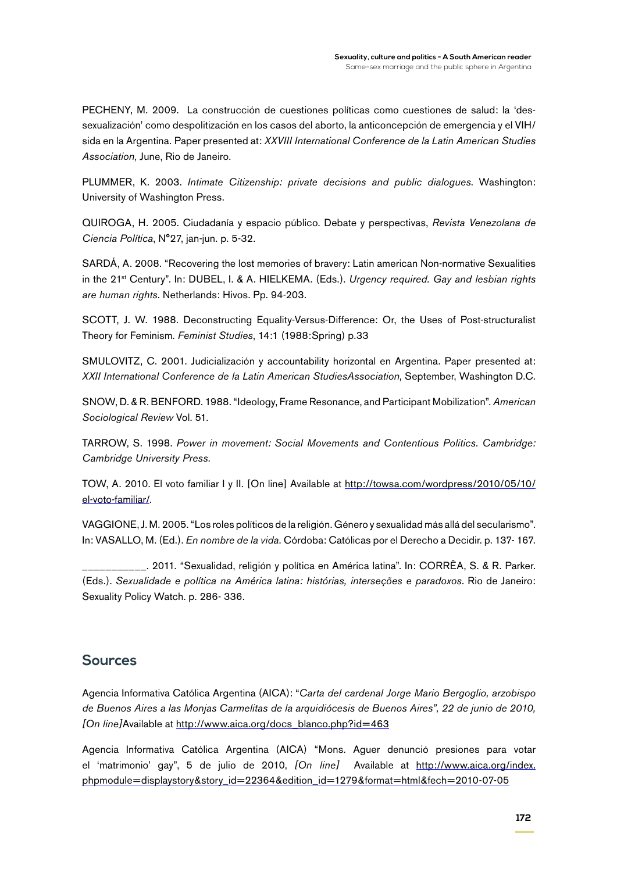Pecheny, M. 2009. La construcción de cuestiones políticas como cuestiones de salud: la 'dessexualización' como despolitización en los casos del aborto, la anticoncepción de emergencia y el VIH/ sida en la Argentina*.* Paper presented at: *XXVIII International Conference de la Latin American Studies Association,* June, Rio de Janeiro.

Plummer, K. 2003. *Intimate Citizenship: private decisions and public dialogues*. Washington: University of Washington Press.

Quiroga, H. 2005. Ciudadanía y espacio público. Debate y perspectivas, *Revista Venezolana de Ciencia Política*, N°27, jan-jun. p. 5-32.

SARDÁ, A. 2008. "Recovering the lost memories of bravery: Latin american Non-normative Sexualities in the 21<sup>st</sup> Century". In: DUBEL, I. & A. HIELKEMA. (Eds.). *Urgency required. Gay and lesbian rights are human rights*. Netherlands: Hivos. Pp. 94-203.

SCOTT, J. W. 1988. Deconstructing Equality-Versus-Difference: Or, the Uses of Post-structuralist Theory for Feminism. *Feminist Studies*, 14:1 (1988:Spring) p.33

SMULOVITZ, C. 2001. Judicialización y accountability horizontal en Argentina. Paper presented at: *XXII International Conference de la Latin American StudiesAssociation,* September, Washington D.C.

SNOW, D. & R. BENFORD. 1988. "Ideology, Frame Resonance, and Participant Mobilization". American *Sociological Review* Vol. 51.

TARROW, S. 1998. Power in movement: Social Movements and Contentious Politics. Cambridge: *Cambridge University Press.*

Tow, A. 2010. El voto familiar I y II. [On line] Available at [http://towsa.com/wordpress/2010/05/10/](http://towsa.com/wordpress/2010/05/10/el-voto-familiar/) [el-voto-familiar/](http://towsa.com/wordpress/2010/05/10/el-voto-familiar/).

Vaggione, J. M. 2005. "Los roles políticos de la religión. Género y sexualidad más allá del secularismo". In: Vasallo, M. (Ed.). *En nombre de la vida*. Córdoba: Católicas por el Derecho a Decidir. p. 137- 167.

\_\_\_\_\_\_\_\_\_\_\_. 2011. "Sexualidad, religión y política en América latina". In: Corrêa, S. & R. Parker. (Eds.). *Sexualidade e política na América latina: histórias, interseções e paradoxos*. Rio de Janeiro: Sexuality Policy Watch. p. 286- 336.

### **Sources**

Agencia Informativa Católica Argentina (AICA): "*Carta del cardenal Jorge Mario Bergoglio, arzobispo de Buenos Aires a las Monjas Carmelitas de la arquidiócesis de Buenos Aires", 22 de junio de 2010, [On line]*Available at [http://www.aica.org/docs\\_blanco.php?id=463](http://www.aica.org/docs_blanco.php?id=463)

Agencia Informativa Católica Argentina (AICA) "Mons. Aguer denunció presiones para votar el 'matrimonio' gay", 5 de julio de 2010, *[On line]* Available at [http://www.aica.org/index.](http://www.aica.org/index.php?module=displaystory&story_id=22364&edition_id=1279&format=html&fech=2010-07-05) [phpmodule=displaystory&story\\_id=22364&edition\\_id=1279&format=html&fech=2010-07-05](http://www.aica.org/index.php?module=displaystory&story_id=22364&edition_id=1279&format=html&fech=2010-07-05)